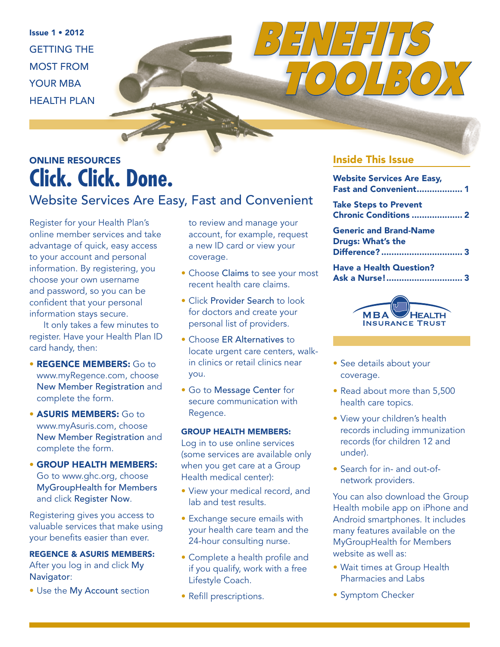Issue 1 • 2012 GETTING THE MOST FROM YOUR MBA HEALTH PLAN

### ONLINE RESOURCES **Click. Click. Done.**

### Website Services Are Easy, Fast and Convenient

Register for your Health Plan's online member services and take advantage of quick, easy access to your account and personal information. By registering, you choose your own username and password, so you can be confident that your personal information stays secure.

It only takes a few minutes to register. Have your Health Plan ID card handy, then:

- **REGENCE MEMBERS: Go to** www.myRegence.com, choose New Member Registration and complete the form.
- **ASURIS MEMBERS: Go to** www.myAsuris.com, choose New Member Registration and complete the form.
- • GROUP HEALTH MEMBERS: Go to www.ghc.org, choose MyGroupHealth for Members and click Register Now.

Registering gives you access to valuable services that make using your benefits easier than ever.

#### REGENCE & ASURIS MEMBERS:

After you log in and click My Navigator:

• Use the My Account section

to review and manage your account, for example, request a new ID card or view your coverage.

- Choose Claims to see your most recent health care claims.
- Click Provider Search to look for doctors and create your personal list of providers.
- Choose ER Alternatives to locate urgent care centers, walkin clinics or retail clinics near you.
- • Go to Message Center for secure communication with Regence.

#### GROUP HEALTH MEMBERS:

Log in to use online services (some services are available only when you get care at a Group Health medical center):

- View your medical record, and lab and test results.
- Exchange secure emails with your health care team and the 24-hour consulting nurse.
- Complete a health profile and if you qualify, work with a free Lifestyle Coach.
- Refill prescriptions.

#### Inside This Issue

*BENEFITS*

| <b>Website Services Are Easy,</b><br>Fast and Convenient 1                  |
|-----------------------------------------------------------------------------|
| <b>Take Steps to Prevent</b><br>Chronic Conditions  2                       |
| <b>Generic and Brand-Name</b><br><b>Drugs: What's the</b><br>Difference?  3 |
| <b>Have a Health Question?</b><br>Ask a Nurse! 3                            |
|                                                                             |

*TOOLBOX*



- See details about your coverage.
- Read about more than 5,500 health care topics.
- • View your children's health records including immunization records (for children 12 and under).
- Search for in- and out-ofnetwork providers.

You can also download the Group Health mobile app on iPhone and Android smartphones. It includes many features available on the MyGroupHealth for Members website as well as:

- • Wait times at Group Health Pharmacies and Labs
- Symptom Checker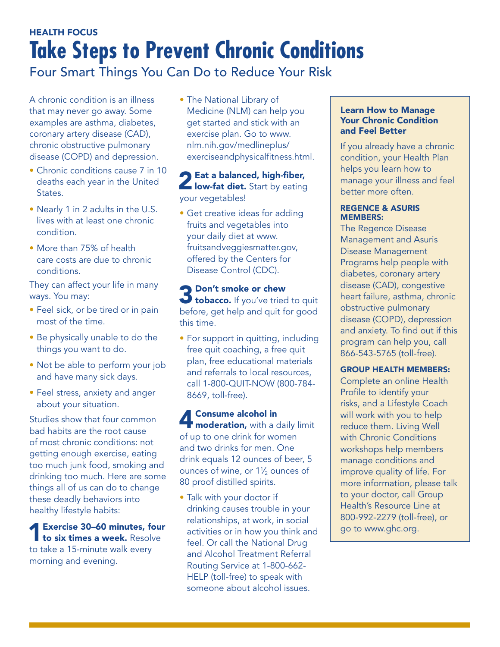# HEALTH FOCUS **Take Steps to Prevent Chronic Conditions**

Four Smart Things You Can Do to Reduce Your Risk

A chronic condition is an illness that may never go away. Some examples are asthma, diabetes, coronary artery disease (CAD), chronic obstructive pulmonary disease (COPD) and depression.

- Chronic conditions cause 7 in 10 deaths each year in the United States.
- Nearly 1 in 2 adults in the U.S. lives with at least one chronic condition.
- More than 75% of health care costs are due to chronic conditions.

They can affect your life in many ways. You may:

- Feel sick, or be tired or in pain most of the time.
- Be physically unable to do the things you want to do.
- Not be able to perform your job and have many sick days.
- Feel stress, anxiety and anger about your situation.

Studies show that four common bad habits are the root cause of most chronic conditions: not getting enough exercise, eating too much junk food, smoking and drinking too much. Here are some things all of us can do to change these deadly behaviors into healthy lifestyle habits:

1Exercise 30–60 minutes, four **to six times a week.** Resolve to take a 15-minute walk every morning and evening.

• The National Library of Medicine (NLM) can help you get started and stick with an exercise plan. Go to www. nlm.nih.gov/medlineplus/ exerciseandphysicalfitness.html.

### 2 Eat a balanced, high-fiber, low-fat diet. Start by eating your vegetables!

• Get creative ideas for adding fruits and vegetables into your daily diet at www. fruitsandveggiesmatter.gov, offered by the Centers for Disease Control (CDC).

### 3 Don't smoke or chew **J** tobacco. If you've tried to quit before, get help and quit for good this time.

• For support in quitting, including free quit coaching, a free quit plan, free educational materials and referrals to local resources, call 1-800-QUIT-NOW (800-784- 8669, toll-free).

4Consume alcohol in moderation, with a daily limit of up to one drink for women and two drinks for men. One drink equals 12 ounces of beer, 5 ounces of wine, or  $1\frac{1}{2}$  ounces of 80 proof distilled spirits.

• Talk with your doctor if drinking causes trouble in your relationships, at work, in social activities or in how you think and feel. Or call the National Drug and Alcohol Treatment Referral Routing Service at 1-800-662- HELP (toll-free) to speak with someone about alcohol issues.

#### Learn How to Manage Your Chronic Condition and Feel Better

If you already have a chronic condition, your Health Plan helps you learn how to manage your illness and feel better more often.

#### REGENCE & ASURIS MEMBERS:

The Regence Disease Management and Asuris Disease Management Programs help people with diabetes, coronary artery disease (CAD), congestive heart failure, asthma, chronic obstructive pulmonary disease (COPD), depression and anxiety. To find out if this program can help you, call 866-543-5765 (toll-free).

#### GROUP HEALTH MEMBERS:

Complete an online Health Profile to identify your risks, and a Lifestyle Coach will work with you to help reduce them. Living Well with Chronic Conditions workshops help members manage conditions and improve quality of life. For more information, please talk to your doctor, call Group Health's Resource Line at 800-992-2279 (toll-free), or go to www.ghc.org.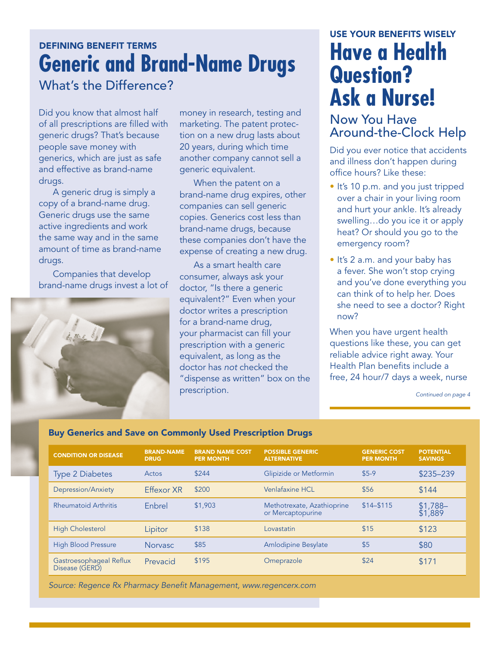### DEFINING BENEFIT TERMS **Generic and Brand-Name Drugs** What's the Difference?

Did you know that almost half of all prescriptions are filled with generic drugs? That's because people save money with generics, which are just as safe and effective as brand-name drugs.

A generic drug is simply a copy of a brand-name drug. Generic drugs use the same active ingredients and work the same way and in the same amount of time as brand-name drugs.

Companies that develop brand-name drugs invest a lot of



money in research, testing and marketing. The patent protection on a new drug lasts about 20 years, during which time another company cannot sell a generic equivalent.

When the patent on a brand-name drug expires, other companies can sell generic copies. Generics cost less than brand-name drugs, because these companies don't have the expense of creating a new drug.

As a smart health care consumer, always ask your doctor, "Is there a generic equivalent?" Even when your doctor writes a prescription for a brand-name drug, your pharmacist can fill your prescription with a generic equivalent, as long as the doctor has *not* checked the "dispense as written" box on the prescription.

# USE YOUR BENEFITS WISELY **Have a Health Question? Ask a Nurse!**

Now You Have Around-the-Clock Help

Did you ever notice that accidents and illness don't happen during office hours? Like these:

- It's 10 p.m. and you just tripped over a chair in your living room and hurt your ankle. It's already swelling…do you ice it or apply heat? Or should you go to the emergency room?
- It's 2 a.m. and your baby has a fever. She won't stop crying and you've done everything you can think of to help her. Does she need to see a doctor? Right now?

When you have urgent health questions like these, you can get reliable advice right away. Your Health Plan benefits include a free, 24 hour/7 days a week, nurse

*Continued on page 4*

#### Buy Generics and Save on Commonly Used Prescription Drugs

| <b>CONDITION OR DISEASE</b>               | <b>BRAND-NAME</b><br><b>DRUG</b> | <b>BRAND NAME COST</b><br><b>PER MONTH</b> | <b>POSSIBLE GENERIC</b><br><b>ALTERNATIVE</b>   | <b>GENERIC COST</b><br><b>PER MONTH</b> | <b>POTENTIAL</b><br><b>SAVINGS</b> |
|-------------------------------------------|----------------------------------|--------------------------------------------|-------------------------------------------------|-----------------------------------------|------------------------------------|
| <b>Type 2 Diabetes</b>                    | Actos                            | \$244                                      | Glipizide or Metformin                          | $$5-9$                                  | \$235-239                          |
| Depression/Anxiety                        | <b>Fffexor XR</b>                | \$200                                      | <b>Venlafaxine HCL</b>                          | \$56                                    | \$144                              |
| <b>Rheumatoid Arthritis</b>               | Enbrel                           | \$1,903                                    | Methotrexate, Azathioprine<br>or Mercaptopurine | $$14 - $115$                            | $$1,788-$<br>$$1,889$              |
| <b>High Cholesterol</b>                   | Lipitor                          | \$138                                      | Lovastatin                                      | \$15                                    | \$123                              |
| <b>High Blood Pressure</b>                | <b>Norvasc</b>                   | \$85                                       | Amlodipine Besylate                             | \$5                                     | \$80                               |
| Gastroesophageal Reflux<br>Disease (GERD) | Prevacid                         | \$195                                      | Omeprazole                                      | \$24                                    | \$171                              |

*Source: Regence Rx Pharmacy Benefit Management, www.regencerx.com*